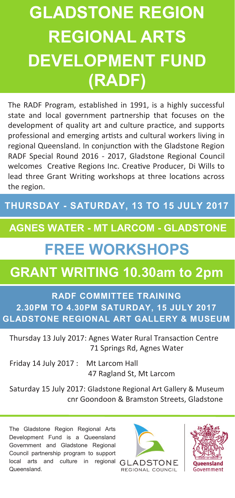# **GLADSTONE REGION REGIONAL ARTS DEVELOPMENT FUND (RADF)**

The RADF Program, established in 1991, is a highly successful state and local government partnership that focuses on the development of quality art and culture practice, and supports professional and emerging artists and cultural workers living in regional Queensland. In conjunction with the Gladstone Region RADF Special Round 2016 - 2017, Gladstone Regional Council welcomes Creative Regions Inc. Creative Producer, Di Wills to lead three Grant Writing workshops at three locations across the region.

### **THURSDAY - SATURDAY, 13 TO 15 JULY 2017**

### **AGNES WATER - MT LARCOM - GLADSTONE**

## **FREE WORKSHOPS**

### **GRANT WRITING 10.30am to 2pm**

#### **RADF COMMITTEE TRAINING 2.30PM TO 4.30PM SATURDAY, 15 JULY 2017 GLADSTONE REGIONAL ART GALLERY & MUSEUM**

Thursday 13 July 2017: Agnes Water Rural Transaction Centre 71 Springs Rd, Agnes Water

Friday 14 July 2017 : Mt Larcom Hall

47 Ragland St, Mt Larcom

Saturday 15 July 2017: Gladstone Regional Art Gallery & Museum cnr Goondoon & Bramston Streets, Gladstone

The Gladstone Region Regional Arts Development Fund is a Queensland Government and Gladstone Regional Council partnership program to support local arts and culture in regional GLADSTONE Queensland.